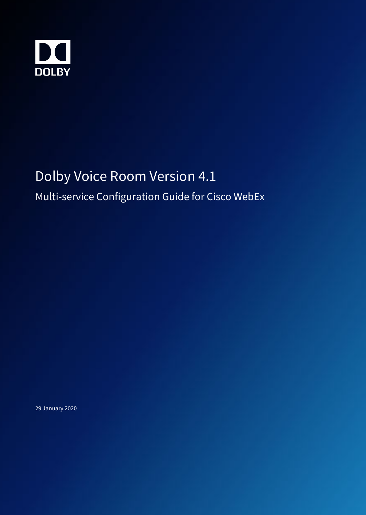

# Dolby Voice Room Version 4.1

### Multi-service Configuration Guide for Cisco WebEx

29 January 2020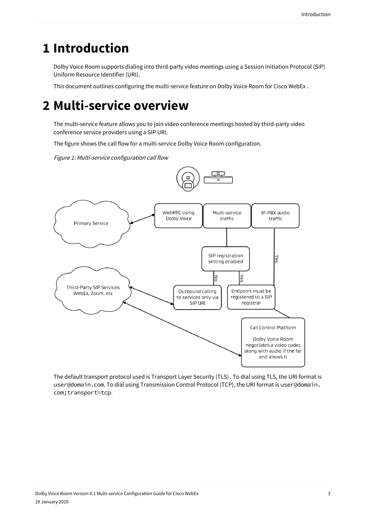### **1 Introduction**

Dolby Voice Room supports dialing into third-party video meetings using a Session Initiation Protocol (SIP) Uniform Resource Identifier (URI).

This document outlines configuring the multi-service feature on Dolby Voice Room for Cisco WebEx .

## **2 Multi-service overview**

The multi-service feature allows you to join video conference meetings hosted by third-party video conference service providers using a SIP URI.

The figure shows the call flow for a multi-service Dolby Voice Room configuration.

Figure 1: Multi-service configuration call flow





The default transport protocol used is Transport Layer Security (TLS) . To dial using TLS, the URI format is user@domain.com. To dial using Transmission Control Protocol (TCP), the URI format is user@domain. com;transport=tcp.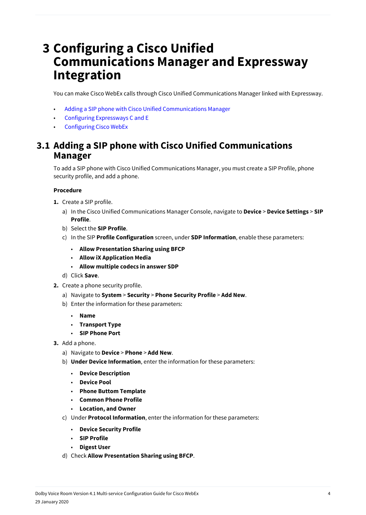### **3 Configuring a Cisco Unified Communications Manager and Expressway Integration**

You can make Cisco WebEx calls through Cisco Unified Communications Manager linked with Expressway.

- Adding a SIP phone with Cisco Unified Communications Manager
- [Configuring Expressways C and E](#page-4-0)
- [Configuring Cisco WebEx](#page-6-0)

#### **3.1 Adding a SIP phone with Cisco Unified Communications Manager**

To add a SIP phone with Cisco Unified Communications Manager, you must create a SIP Profile, phone security profile, and add a phone.

- **1.** Create a SIP profile.
	- a) In the Cisco Unified Communications Manager Console, navigate to **Device** > **Device Settings** > **SIP Profile**.
	- b) Select the **SIP Profile**.
	- c) In the SIP **Profile Configuration** screen, under **SDP Information**, enable these parameters:
		- **Allow Presentation Sharing using BFCP**
		- **Allow iX Application Media**
		- **Allow multiple codecs in answer SDP**
	- d) Click **Save**.
- **2.** Create a phone security profile.
	- a) Navigate to **System** > **Security** > **Phone Security Profile** > **Add New**.
	- b) Enter the information for these parameters:
		- **Name**
		- **Transport Type**
		- **SIP Phone Port**
- **3.** Add a phone.
	- a) Navigate to **Device** > **Phone** > **Add New**.
	- b) **Under Device Information**, enter the information for these parameters:
		- **Device Description**
		- **Device Pool**
		- **Phone Buttom Template**
		- **Common Phone Profile**
		- **Location, and Owner**
	- c) Under **Protocol Information**, enter the information for these parameters:
		- **Device Security Profile**
		- **SIP Profile**
		- **Digest User**
	- d) Check **Allow Presentation Sharing using BFCP**.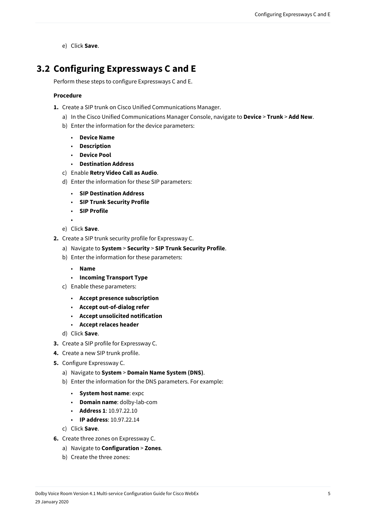e) Click **Save**.

#### <span id="page-4-0"></span>**3.2 Configuring Expressways C and E**

Perform these steps to configure Expressways C and E.

- **1.** Create a SIP trunk on Cisco Unified Communications Manager.
	- a) In the Cisco Unified Communications Manager Console, navigate to **Device** > **Trunk** > **Add New**.
	- b) Enter the information for the device parameters:
		- **Device Name**
		- **Description**
		- **Device Pool**
		- **Destination Address**
	- c) Enable **Retry Video Call as Audio**.
	- d) Enter the information for these SIP parameters:
		- **SIP Destination Address**
		- **SIP Trunk Security Profile**
		- **SIP Profile**
		- •
	- e) Click **Save**.
- **2.** Create a SIP trunk security profile for Expressway C.
	- a) Navigate to **System** > **Security** > **SIP Trunk Security Profile**.
	- b) Enter the information for these parameters:
		- **Name**
		- **Incoming Transport Type**
	- c) Enable these parameters:
		- **Accept presence subscription**
		- **Accept out-of-dialog refer**
		- **Accept unsolicited notification**
		- **Accept relaces header**
	- d) Click **Save**.
- **3.** Create a SIP profile for Expressway C.
- **4.** Create a new SIP trunk profile.
- **5.** Configure Expressway C.
	- a) Navigate to **System** > **Domain Name System (DNS)**.
	- b) Enter the information for the DNS parameters. For example:
		- **System host name**: expc
		- **Domain name**: dolby-lab-com
		- **Address 1**: 10.97.22.10
		- **IP address**: 10.97.22.14
	- c) Click **Save**.
- **6.** Create three zones on Expressway C.
	- a) Navigate to **Configuration** > **Zones**.
	- b) Create the three zones: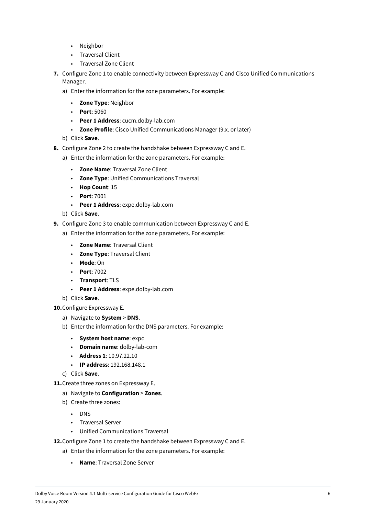- Neighbor
- Traversal Client
- Traversal Zone Client
- **7.** Configure Zone 1 to enable connectivity between Expressway C and Cisco Unified Communications Manager.
	- a) Enter the information for the zone parameters. For example:
		- **Zone Type**: Neighbor
		- **Port**: 5060
		- **Peer 1 Address**: cucm.dolby-lab.com
		- **Zone Profile**: Cisco Unified Communications Manager (9.x. or later)
	- b) Click **Save**.
- **8.** Configure Zone 2 to create the handshake between Expressway C and E.
	- a) Enter the information for the zone parameters. For example:
		- **Zone Name**: Traversal Zone Client
		- **Zone Type**: Unified Communications Traversal
		- **Hop Count**: 15
		- **Port**: 7001
		- **Peer 1 Address**: expe.dolby-lab.com
	- b) Click **Save**.
- **9.** Configure Zone 3 to enable communication between Expressway C and E.
	- a) Enter the information for the zone parameters. For example:
		- **Zone Name**: Traversal Client
		- **Zone Type**: Traversal Client
		- **Mode**: On
		- **Port**: 7002
		- **Transport**: TLS
		- **Peer 1 Address**: expe.dolby-lab.com
	- b) Click **Save**.
- **10.**Configure Expressway E.
	- a) Navigate to **System** > **DNS**.
	- b) Enter the information for the DNS parameters. For example:
		- **System host name**: expc
		- **Domain name**: dolby-lab-com
		- **Address 1**: 10.97.22.10
		- **IP address**: 192.168.148.1
	- c) Click **Save**.
- **11.**Create three zones on Expressway E.
	- a) Navigate to **Configuration** > **Zones**.
	- b) Create three zones:
		- DNS
		- Traversal Server
		- Unified Communications Traversal
- **12.**Configure Zone 1 to create the handshake between Expressway C and E.
	- a) Enter the information for the zone parameters. For example:
		- **Name**: Traversal Zone Server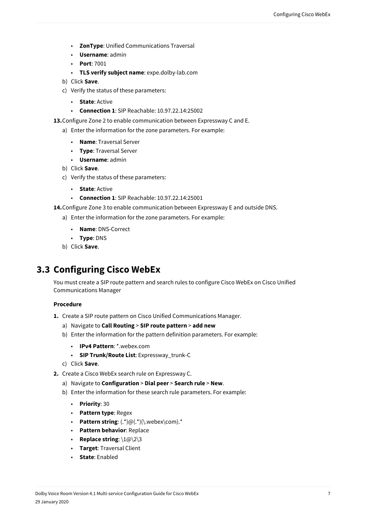- <span id="page-6-0"></span>• **ZonType**: Unified Communications Traversal
- **Username**: admin
- **Port**: 7001
- **TLS verify subject name**: expe.dolby-lab.com
- b) Click **Save**.
- c) Verify the status of these parameters:
	- **State**: Active
	- **Connection 1**: SIP Reachable: 10.97.22.14:25002
- **13.**Configure Zone 2 to enable communication between Expressway C and E.
	- a) Enter the information for the zone parameters. For example:
		- **Name**: Traversal Server
		- **Type**: Traversal Server
		- **Username**: admin
	- b) Click **Save**.
	- c) Verify the status of these parameters:
		- **State**: Active
		- **Connection 1**: SIP Reachable: 10.97.22.14:25001
- **14.**Configure Zone 3 to enable communication between Expressway E and outside DNS.
	- a) Enter the information for the zone parameters. For example:
		- **Name**: DNS-Correct
		- **Type**: DNS
	- b) Click **Save**.

#### **3.3 Configuring Cisco WebEx**

You must create a SIP route pattern and search rules to configure Cisco WebEx on Cisco Unified Communications Manager

- **1.** Create a SIP route pattern on Cisco Unified Communications Manager.
	- a) Navigate to **Call Routing** > **SIP route pattern** > **add new**
	- b) Enter the information for the pattern definition parameters. For example:
		- **IPv4 Pattern**: \*.webex.com
		- **SIP Trunk/Route List**: Expressway\_trunk-C
	- c) Click **Save**.
- **2.** Create a Cisco WebEx search rule on Expressway C.
	- a) Navigate to **Configuration** > **Dial peer** > **Search rule** > **New**.
	- b) Enter the information for these search rule parameters. For example:
		- **Priority**: 30
		- **Pattern type**: Regex
		- **Pattern string**: (.\*)@(.\*)(\.webex\com).\*
		- **Pattern behavior**: Replace
		- **Replace string**: \1@\2\3
		- **Target**: Traversal Client
		- **State**: Enabled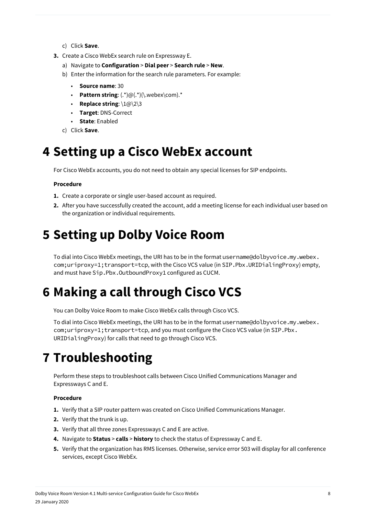- c) Click **Save**.
- **3.** Create a Cisco WebEx search rule on Expressway E.
	- a) Navigate to **Configuration** > **Dial peer** > **Search rule** > **New**.
	- b) Enter the information for the search rule parameters. For example:
		- **Source name**: 30
		- **Pattern string**: (.\*)@(.\*)(\.webex\com).\*
		- **Replace string**: \1@\2\3
		- **Target**: DNS-Correct
		- **State**: Enabled
	- c) Click **Save**.

## **4 Setting up a Cisco WebEx account**

For Cisco WebEx accounts, you do not need to obtain any special licenses for SIP endpoints.

#### **Procedure**

- **1.** Create a corporate or single user-based account as required.
- **2.** After you have successfully created the account, add a meeting license for each individual user based on the organization or individual requirements.

# **5 Setting up Dolby Voice Room**

To dial into Cisco WebEx meetings, the URI has to be in the format username@dolbyvoice.my.webex. com;uriproxy=1;transport=tcp, with the Cisco VCS value (in SIP.Pbx.URIDialingProxy) empty, and must have Sip.Pbx.OutboundProxy1 configured as CUCM.

## **6 Making a call through Cisco VCS**

You can Dolby Voice Room to make Cisco WebEx calls through Cisco VCS.

To dial into Cisco WebEx meetings, the URI has to be in the format username@dolbyvoice.my.webex. com;uriproxy=1;transport=tcp, and you must configure the Cisco VCS value (in SIP.Pbx. URIDialingProxy) for calls that need to go through Cisco VCS.

## **7 Troubleshooting**

Perform these steps to troubleshoot calls between Cisco Unified Communications Manager and Expressways C and E.

- **1.** Verify that a SIP router pattern was created on Cisco Unified Communications Manager.
- **2.** Verify that the trunk is up.
- **3.** Verify that all three zones Expressways C and E are active.
- **4.** Navigate to **Status** > **calls** > **history** to check the status of Expressway C and E.
- **5.** Verify that the organization has RMS licenses. Otherwise, service error 503 will display for all conference services, except Cisco WebEx.